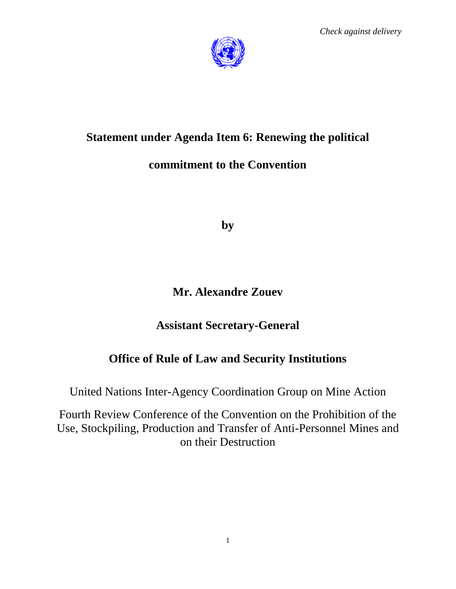

# **Statement under Agenda Item 6: Renewing the political**

## **commitment to the Convention**

**by**

# **Mr. Alexandre Zouev**

## **Assistant Secretary-General**

# **Office of Rule of Law and Security Institutions**

United Nations Inter-Agency Coordination Group on Mine Action

Fourth Review Conference of the Convention on the Prohibition of the Use, Stockpiling, Production and Transfer of Anti-Personnel Mines and on their Destruction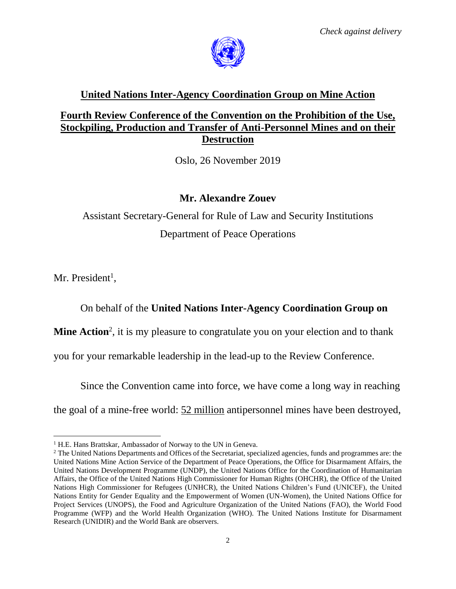

## **United Nations Inter-Agency Coordination Group on Mine Action**

#### **Fourth Review Conference of the Convention on the Prohibition of the Use, Stockpiling, Production and Transfer of Anti-Personnel Mines and on their Destruction**

Oslo, 26 November 2019

#### **Mr. Alexandre Zouev**

Assistant Secretary-General for Rule of Law and Security Institutions Department of Peace Operations

Mr. President<sup>1</sup>,

 $\overline{\phantom{a}}$ 

## On behalf of the **United Nations Inter-Agency Coordination Group on**

**Mine Action**<sup>2</sup>, it is my pleasure to congratulate you on your election and to thank

you for your remarkable leadership in the lead-up to the Review Conference.

Since the Convention came into force, we have come a long way in reaching

the goal of a mine-free world: 52 million antipersonnel mines have been destroyed,

<sup>&</sup>lt;sup>1</sup> H.E. Hans Brattskar, Ambassador of Norway to the UN in Geneva.

<sup>&</sup>lt;sup>2</sup> The United Nations Departments and Offices of the Secretariat, specialized agencies, funds and programmes are: the United Nations Mine Action Service of the Department of Peace Operations, the Office for Disarmament Affairs, the United Nations Development Programme (UNDP), the United Nations Office for the Coordination of Humanitarian Affairs, the Office of the United Nations High Commissioner for Human Rights (OHCHR), the Office of the United Nations High Commissioner for Refugees (UNHCR), the United Nations Children's Fund (UNICEF), the United Nations Entity for Gender Equality and the Empowerment of Women (UN-Women), the United Nations Office for Project Services (UNOPS), the Food and Agriculture Organization of the United Nations (FAO), the World Food Programme (WFP) and the World Health Organization (WHO). The United Nations Institute for Disarmament Research (UNIDIR) and the World Bank are observers.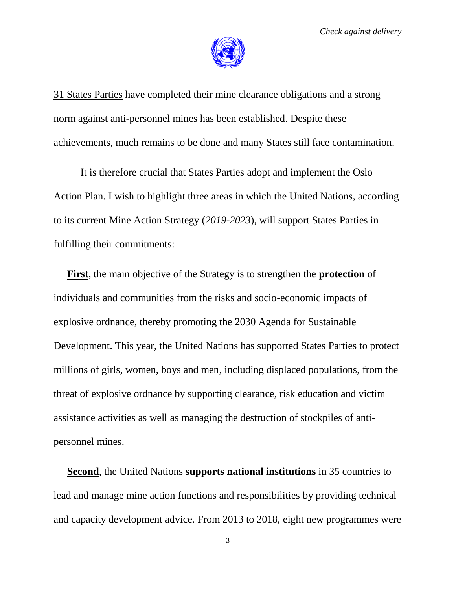

31 States Parties have completed their mine clearance obligations and a strong norm against anti-personnel mines has been established. Despite these achievements, much remains to be done and many States still face contamination.

It is therefore crucial that States Parties adopt and implement the Oslo Action Plan. I wish to highlight three areas in which the United Nations, according to its current Mine Action Strategy (*2019-2023*), will support States Parties in fulfilling their commitments:

**First**, the main objective of the Strategy is to strengthen the **protection** of individuals and communities from the risks and socio-economic impacts of explosive ordnance, thereby promoting the 2030 Agenda for Sustainable Development. This year, the United Nations has supported States Parties to protect millions of girls, women, boys and men, including displaced populations, from the threat of explosive ordnance by supporting clearance, risk education and victim assistance activities as well as managing the destruction of stockpiles of antipersonnel mines.

**Second**, the United Nations **supports national institutions** in 35 countries to lead and manage mine action functions and responsibilities by providing technical and capacity development advice. From 2013 to 2018, eight new programmes were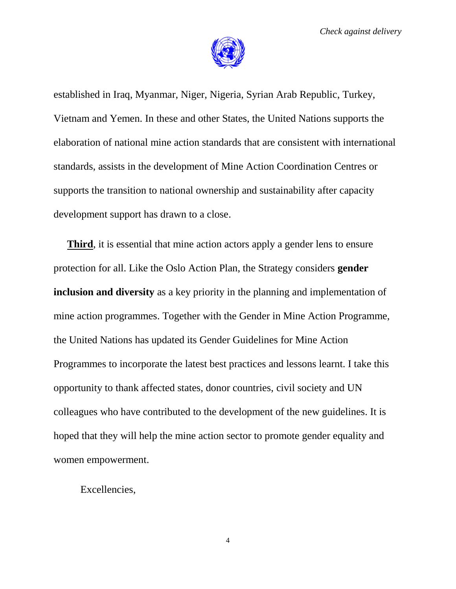

established in Iraq, Myanmar, Niger, Nigeria, Syrian Arab Republic, Turkey, Vietnam and Yemen. In these and other States, the United Nations supports the elaboration of national mine action standards that are consistent with international standards, assists in the development of Mine Action Coordination Centres or supports the transition to national ownership and sustainability after capacity development support has drawn to a close.

**Third**, it is essential that mine action actors apply a gender lens to ensure protection for all. Like the Oslo Action Plan, the Strategy considers **gender inclusion and diversity** as a key priority in the planning and implementation of mine action programmes. Together with the Gender in Mine Action Programme, the United Nations has updated its Gender Guidelines for Mine Action Programmes to incorporate the latest best practices and lessons learnt. I take this opportunity to thank affected states, donor countries, civil society and UN colleagues who have contributed to the development of the new guidelines. It is hoped that they will help the mine action sector to promote gender equality and women empowerment.

Excellencies,